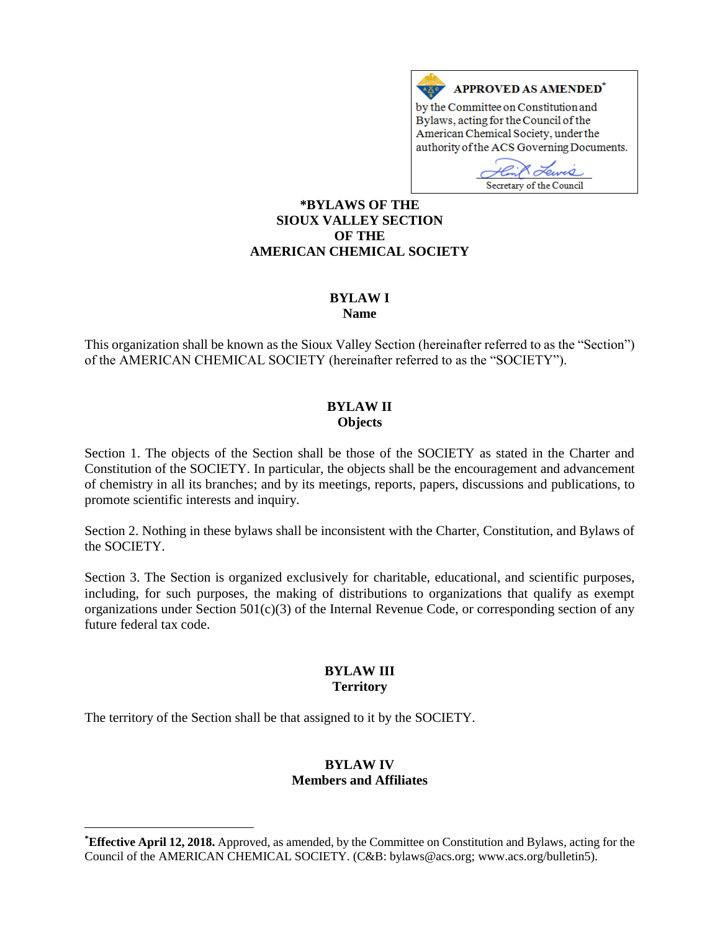

Bylaws, acting for the Council of the American Chemical Society, under the authority of the ACS Governing Documents.

W Secretary of the Council

### **\*BYLAWS OF THE SIOUX VALLEY SECTION OF THE AMERICAN CHEMICAL SOCIETY**

# **BYLAW I**

**Name**

This organization shall be known as the Sioux Valley Section (hereinafter referred to as the "Section") of the AMERICAN CHEMICAL SOCIETY (hereinafter referred to as the "SOCIETY").

### **BYLAW II Objects**

Section 1. The objects of the Section shall be those of the SOCIETY as stated in the Charter and Constitution of the SOCIETY. In particular, the objects shall be the encouragement and advancement of chemistry in all its branches; and by its meetings, reports, papers, discussions and publications, to promote scientific interests and inquiry.

Section 2. Nothing in these bylaws shall be inconsistent with the Charter, Constitution, and Bylaws of the SOCIETY.

Section 3. The Section is organized exclusively for charitable, educational, and scientific purposes, including, for such purposes, the making of distributions to organizations that qualify as exempt organizations under Section  $501(c)(3)$  of the Internal Revenue Code, or corresponding section of any future federal tax code.

# **BYLAW III Territory**

The territory of the Section shall be that assigned to it by the SOCIETY.

 $\overline{a}$ 

### **BYLAW IV Members and Affiliates**

**<sup>\*</sup>Effective April 12, 2018.** Approved, as amended, by the Committee on Constitution and Bylaws, acting for the Council of the AMERICAN CHEMICAL SOCIETY. (C&B: bylaws@acs.org; www.acs.org/bulletin5).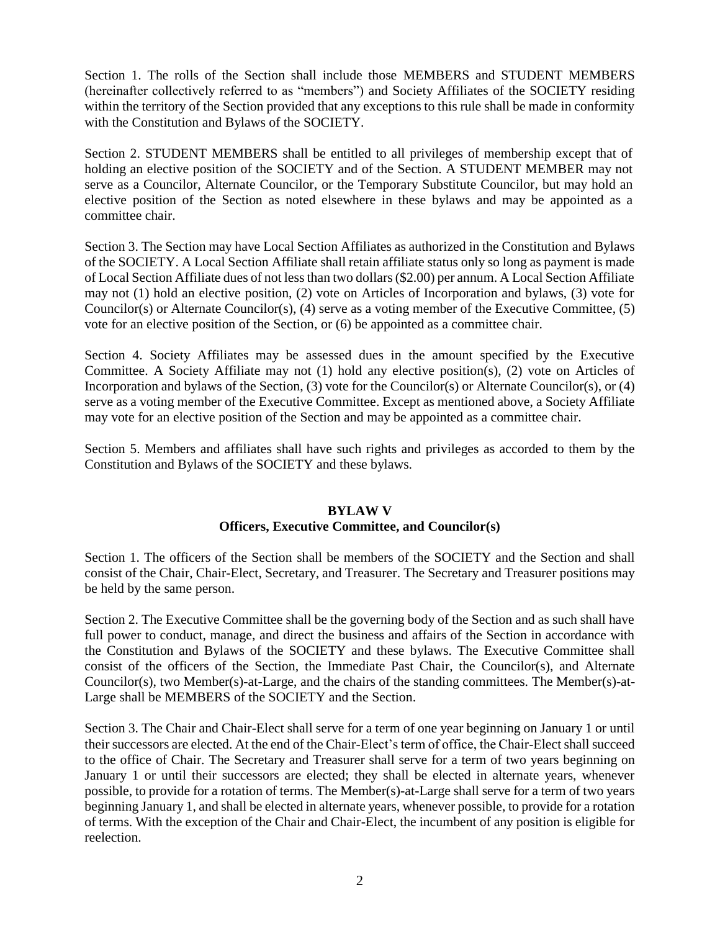Section 1. The rolls of the Section shall include those MEMBERS and STUDENT MEMBERS (hereinafter collectively referred to as "members") and Society Affiliates of the SOCIETY residing within the territory of the Section provided that any exceptions to this rule shall be made in conformity with the Constitution and Bylaws of the SOCIETY.

Section 2. STUDENT MEMBERS shall be entitled to all privileges of membership except that of holding an elective position of the SOCIETY and of the Section. A STUDENT MEMBER may not serve as a Councilor, Alternate Councilor, or the Temporary Substitute Councilor, but may hold an elective position of the Section as noted elsewhere in these bylaws and may be appointed as a committee chair.

Section 3. The Section may have Local Section Affiliates as authorized in the Constitution and Bylaws of the SOCIETY. A Local Section Affiliate shall retain affiliate status only so long as payment is made of Local Section Affiliate dues of not less than two dollars (\$2.00) per annum. A Local Section Affiliate may not (1) hold an elective position, (2) vote on Articles of Incorporation and bylaws, (3) vote for Councilor(s) or Alternate Councilor(s), (4) serve as a voting member of the Executive Committee, (5) vote for an elective position of the Section, or (6) be appointed as a committee chair.

Section 4. Society Affiliates may be assessed dues in the amount specified by the Executive Committee. A Society Affiliate may not (1) hold any elective position(s), (2) vote on Articles of Incorporation and bylaws of the Section, (3) vote for the Councilor(s) or Alternate Councilor(s), or (4) serve as a voting member of the Executive Committee. Except as mentioned above, a Society Affiliate may vote for an elective position of the Section and may be appointed as a committee chair.

Section 5. Members and affiliates shall have such rights and privileges as accorded to them by the Constitution and Bylaws of the SOCIETY and these bylaws.

#### **BYLAW V Officers, Executive Committee, and Councilor(s)**

Section 1. The officers of the Section shall be members of the SOCIETY and the Section and shall consist of the Chair, Chair-Elect, Secretary, and Treasurer. The Secretary and Treasurer positions may be held by the same person.

Section 2. The Executive Committee shall be the governing body of the Section and as such shall have full power to conduct, manage, and direct the business and affairs of the Section in accordance with the Constitution and Bylaws of the SOCIETY and these bylaws. The Executive Committee shall consist of the officers of the Section, the Immediate Past Chair, the Councilor(s), and Alternate Councilor(s), two Member(s)-at-Large, and the chairs of the standing committees. The Member(s)-at-Large shall be MEMBERS of the SOCIETY and the Section.

Section 3. The Chair and Chair-Elect shall serve for a term of one year beginning on January 1 or until their successors are elected. At the end of the Chair-Elect's term of office, the Chair-Elect shall succeed to the office of Chair. The Secretary and Treasurer shall serve for a term of two years beginning on January 1 or until their successors are elected; they shall be elected in alternate years, whenever possible, to provide for a rotation of terms. The Member(s)-at-Large shall serve for a term of two years beginning January 1, and shall be elected in alternate years, whenever possible, to provide for a rotation of terms. With the exception of the Chair and Chair-Elect, the incumbent of any position is eligible for reelection.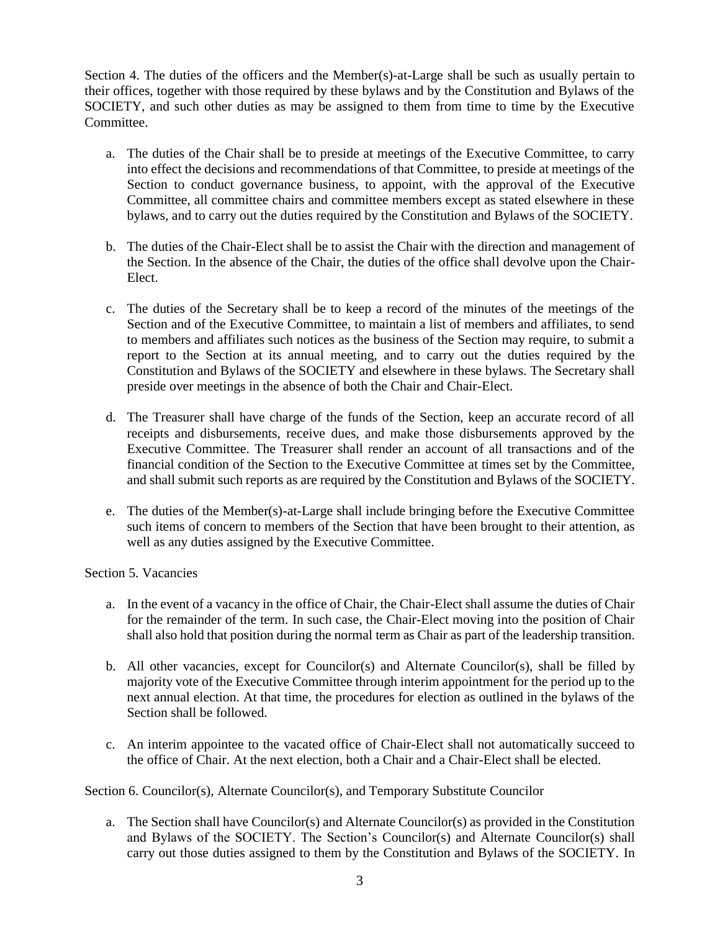Section 4. The duties of the officers and the Member(s)-at-Large shall be such as usually pertain to their offices, together with those required by these bylaws and by the Constitution and Bylaws of the SOCIETY, and such other duties as may be assigned to them from time to time by the Executive Committee.

- a. The duties of the Chair shall be to preside at meetings of the Executive Committee, to carry into effect the decisions and recommendations of that Committee, to preside at meetings of the Section to conduct governance business, to appoint, with the approval of the Executive Committee, all committee chairs and committee members except as stated elsewhere in these bylaws, and to carry out the duties required by the Constitution and Bylaws of the SOCIETY.
- b. The duties of the Chair-Elect shall be to assist the Chair with the direction and management of the Section. In the absence of the Chair, the duties of the office shall devolve upon the Chair-Elect.
- c. The duties of the Secretary shall be to keep a record of the minutes of the meetings of the Section and of the Executive Committee, to maintain a list of members and affiliates, to send to members and affiliates such notices as the business of the Section may require, to submit a report to the Section at its annual meeting, and to carry out the duties required by the Constitution and Bylaws of the SOCIETY and elsewhere in these bylaws. The Secretary shall preside over meetings in the absence of both the Chair and Chair-Elect.
- d. The Treasurer shall have charge of the funds of the Section, keep an accurate record of all receipts and disbursements, receive dues, and make those disbursements approved by the Executive Committee. The Treasurer shall render an account of all transactions and of the financial condition of the Section to the Executive Committee at times set by the Committee, and shall submit such reports as are required by the Constitution and Bylaws of the SOCIETY.
- e. The duties of the Member(s)-at-Large shall include bringing before the Executive Committee such items of concern to members of the Section that have been brought to their attention, as well as any duties assigned by the Executive Committee.

# Section 5. Vacancies

- a. In the event of a vacancy in the office of Chair, the Chair-Elect shall assume the duties of Chair for the remainder of the term. In such case, the Chair-Elect moving into the position of Chair shall also hold that position during the normal term as Chair as part of the leadership transition.
- b. All other vacancies, except for Councilor(s) and Alternate Councilor(s), shall be filled by majority vote of the Executive Committee through interim appointment for the period up to the next annual election. At that time, the procedures for election as outlined in the bylaws of the Section shall be followed.
- c. An interim appointee to the vacated office of Chair-Elect shall not automatically succeed to the office of Chair. At the next election, both a Chair and a Chair-Elect shall be elected.

Section 6. Councilor(s), Alternate Councilor(s), and Temporary Substitute Councilor

a. The Section shall have Councilor(s) and Alternate Councilor(s) as provided in the Constitution and Bylaws of the SOCIETY. The Section's Councilor(s) and Alternate Councilor(s) shall carry out those duties assigned to them by the Constitution and Bylaws of the SOCIETY. In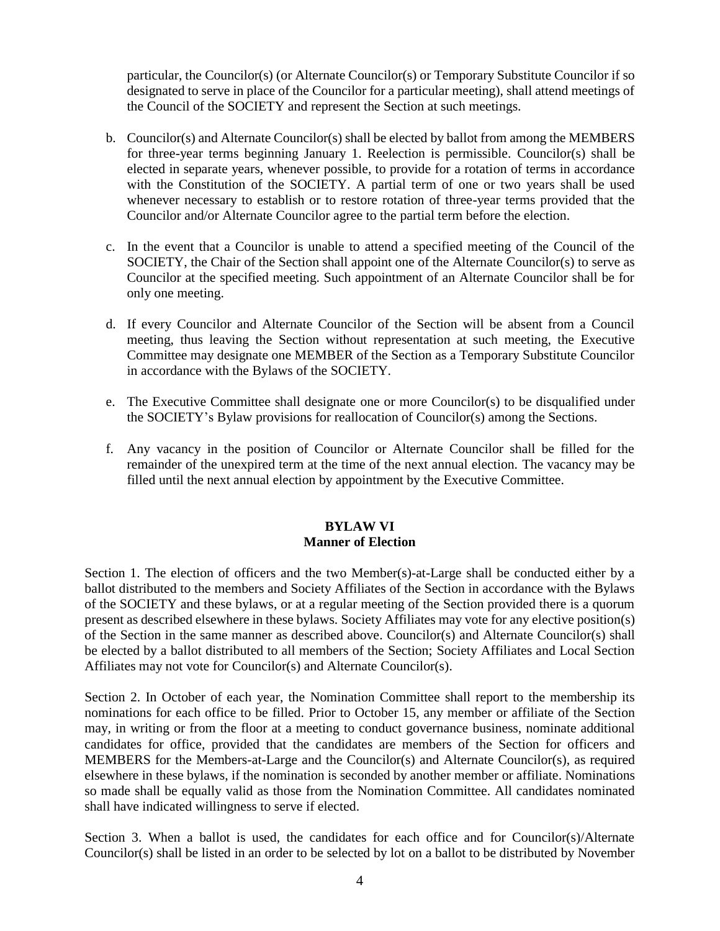particular, the Councilor(s) (or Alternate Councilor(s) or Temporary Substitute Councilor if so designated to serve in place of the Councilor for a particular meeting), shall attend meetings of the Council of the SOCIETY and represent the Section at such meetings.

- b. Councilor(s) and Alternate Councilor(s) shall be elected by ballot from among the MEMBERS for three-year terms beginning January 1. Reelection is permissible. Councilor(s) shall be elected in separate years, whenever possible, to provide for a rotation of terms in accordance with the Constitution of the SOCIETY. A partial term of one or two years shall be used whenever necessary to establish or to restore rotation of three-year terms provided that the Councilor and/or Alternate Councilor agree to the partial term before the election.
- c. In the event that a Councilor is unable to attend a specified meeting of the Council of the SOCIETY, the Chair of the Section shall appoint one of the Alternate Councilor(s) to serve as Councilor at the specified meeting. Such appointment of an Alternate Councilor shall be for only one meeting.
- d. If every Councilor and Alternate Councilor of the Section will be absent from a Council meeting, thus leaving the Section without representation at such meeting, the Executive Committee may designate one MEMBER of the Section as a Temporary Substitute Councilor in accordance with the Bylaws of the SOCIETY.
- e. The Executive Committee shall designate one or more Councilor(s) to be disqualified under the SOCIETY's Bylaw provisions for reallocation of Councilor(s) among the Sections.
- f. Any vacancy in the position of Councilor or Alternate Councilor shall be filled for the remainder of the unexpired term at the time of the next annual election. The vacancy may be filled until the next annual election by appointment by the Executive Committee.

# **BYLAW VI Manner of Election**

Section 1. The election of officers and the two Member(s)-at-Large shall be conducted either by a ballot distributed to the members and Society Affiliates of the Section in accordance with the Bylaws of the SOCIETY and these bylaws, or at a regular meeting of the Section provided there is a quorum present as described elsewhere in these bylaws. Society Affiliates may vote for any elective position(s) of the Section in the same manner as described above. Councilor(s) and Alternate Councilor(s) shall be elected by a ballot distributed to all members of the Section; Society Affiliates and Local Section Affiliates may not vote for Councilor(s) and Alternate Councilor(s).

Section 2. In October of each year, the Nomination Committee shall report to the membership its nominations for each office to be filled. Prior to October 15, any member or affiliate of the Section may, in writing or from the floor at a meeting to conduct governance business, nominate additional candidates for office, provided that the candidates are members of the Section for officers and MEMBERS for the Members-at-Large and the Councilor(s) and Alternate Councilor(s), as required elsewhere in these bylaws, if the nomination is seconded by another member or affiliate. Nominations so made shall be equally valid as those from the Nomination Committee. All candidates nominated shall have indicated willingness to serve if elected.

Section 3. When a ballot is used, the candidates for each office and for Councilor(s)/Alternate Councilor(s) shall be listed in an order to be selected by lot on a ballot to be distributed by November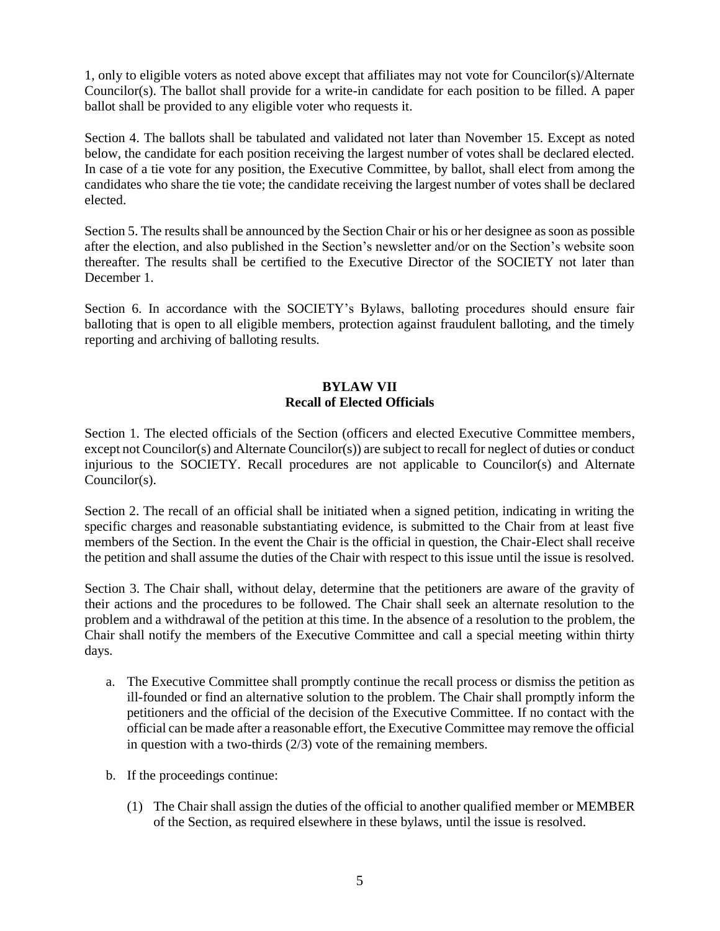1, only to eligible voters as noted above except that affiliates may not vote for Councilor(s)/Alternate Councilor(s). The ballot shall provide for a write-in candidate for each position to be filled. A paper ballot shall be provided to any eligible voter who requests it.

Section 4. The ballots shall be tabulated and validated not later than November 15. Except as noted below, the candidate for each position receiving the largest number of votes shall be declared elected. In case of a tie vote for any position, the Executive Committee, by ballot, shall elect from among the candidates who share the tie vote; the candidate receiving the largest number of votes shall be declared elected.

Section 5. The results shall be announced by the Section Chair or his or her designee as soon as possible after the election, and also published in the Section's newsletter and/or on the Section's website soon thereafter. The results shall be certified to the Executive Director of the SOCIETY not later than December 1.

Section 6. In accordance with the SOCIETY's Bylaws, balloting procedures should ensure fair balloting that is open to all eligible members, protection against fraudulent balloting, and the timely reporting and archiving of balloting results.

# **BYLAW VII Recall of Elected Officials**

Section 1. The elected officials of the Section (officers and elected Executive Committee members, except not Councilor(s) and Alternate Councilor(s)) are subject to recall for neglect of duties or conduct injurious to the SOCIETY. Recall procedures are not applicable to Councilor(s) and Alternate Councilor(s).

Section 2. The recall of an official shall be initiated when a signed petition, indicating in writing the specific charges and reasonable substantiating evidence, is submitted to the Chair from at least five members of the Section. In the event the Chair is the official in question, the Chair-Elect shall receive the petition and shall assume the duties of the Chair with respect to this issue until the issue is resolved.

Section 3. The Chair shall, without delay, determine that the petitioners are aware of the gravity of their actions and the procedures to be followed. The Chair shall seek an alternate resolution to the problem and a withdrawal of the petition at this time. In the absence of a resolution to the problem, the Chair shall notify the members of the Executive Committee and call a special meeting within thirty days.

- a. The Executive Committee shall promptly continue the recall process or dismiss the petition as ill-founded or find an alternative solution to the problem. The Chair shall promptly inform the petitioners and the official of the decision of the Executive Committee. If no contact with the official can be made after a reasonable effort, the Executive Committee may remove the official in question with a two-thirds (2/3) vote of the remaining members.
- b. If the proceedings continue:
	- (1) The Chair shall assign the duties of the official to another qualified member or MEMBER of the Section, as required elsewhere in these bylaws, until the issue is resolved.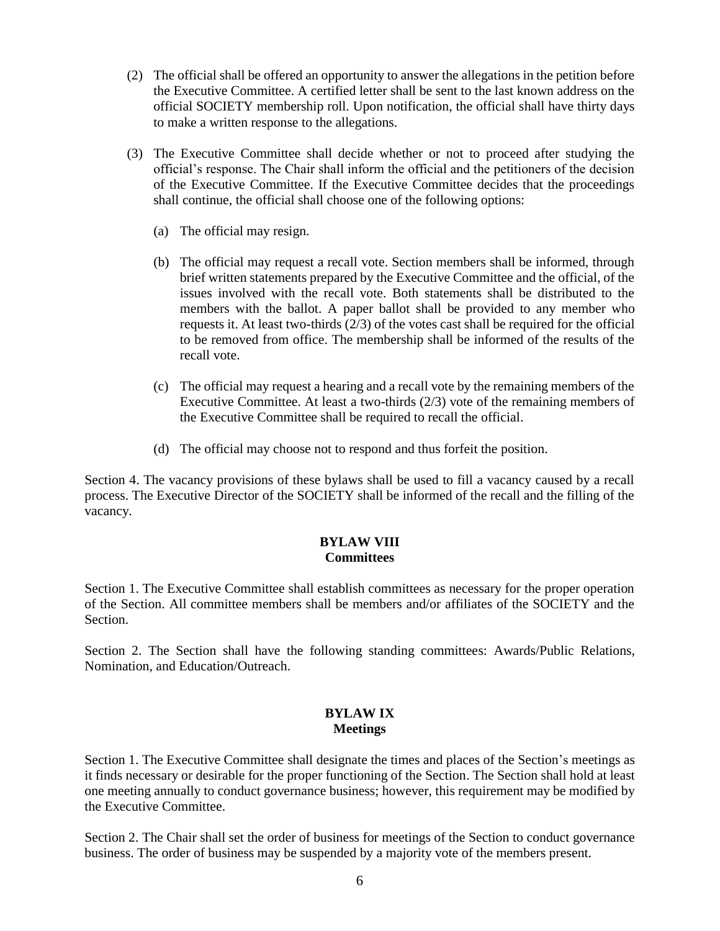- (2) The official shall be offered an opportunity to answer the allegations in the petition before the Executive Committee. A certified letter shall be sent to the last known address on the official SOCIETY membership roll. Upon notification, the official shall have thirty days to make a written response to the allegations.
- (3) The Executive Committee shall decide whether or not to proceed after studying the official's response. The Chair shall inform the official and the petitioners of the decision of the Executive Committee. If the Executive Committee decides that the proceedings shall continue, the official shall choose one of the following options:
	- (a) The official may resign.
	- (b) The official may request a recall vote. Section members shall be informed, through brief written statements prepared by the Executive Committee and the official, of the issues involved with the recall vote. Both statements shall be distributed to the members with the ballot. A paper ballot shall be provided to any member who requests it. At least two-thirds (2/3) of the votes cast shall be required for the official to be removed from office. The membership shall be informed of the results of the recall vote.
	- (c) The official may request a hearing and a recall vote by the remaining members of the Executive Committee. At least a two-thirds (2/3) vote of the remaining members of the Executive Committee shall be required to recall the official.
	- (d) The official may choose not to respond and thus forfeit the position.

Section 4. The vacancy provisions of these bylaws shall be used to fill a vacancy caused by a recall process. The Executive Director of the SOCIETY shall be informed of the recall and the filling of the vacancy.

# **BYLAW VIII Committees**

Section 1. The Executive Committee shall establish committees as necessary for the proper operation of the Section. All committee members shall be members and/or affiliates of the SOCIETY and the Section.

Section 2. The Section shall have the following standing committees: Awards/Public Relations, Nomination, and Education/Outreach.

### **BYLAW IX Meetings**

Section 1. The Executive Committee shall designate the times and places of the Section's meetings as it finds necessary or desirable for the proper functioning of the Section. The Section shall hold at least one meeting annually to conduct governance business; however, this requirement may be modified by the Executive Committee.

Section 2. The Chair shall set the order of business for meetings of the Section to conduct governance business. The order of business may be suspended by a majority vote of the members present.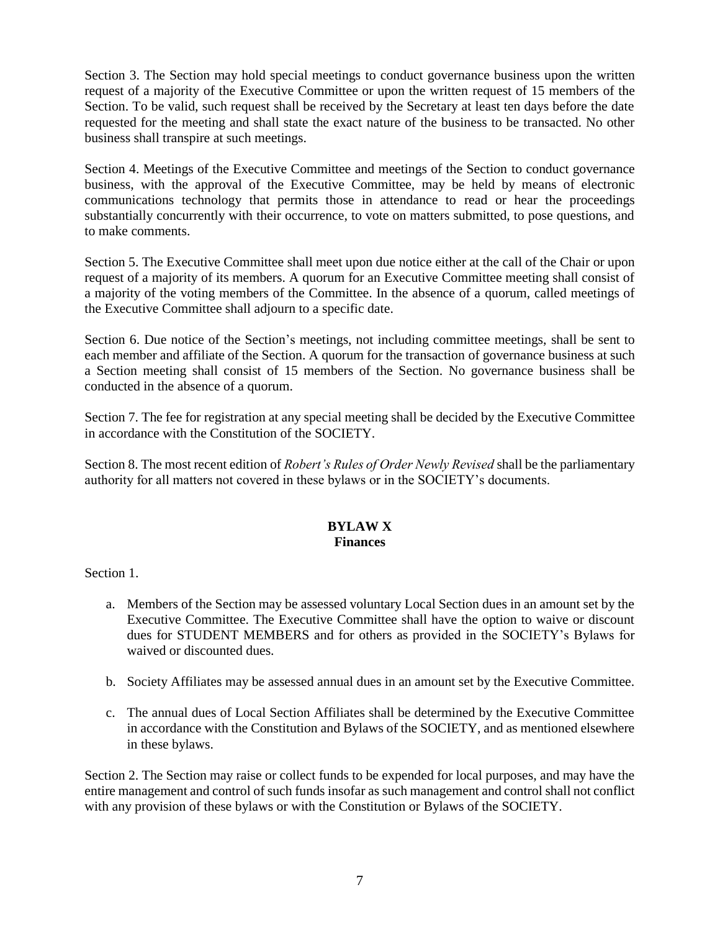Section 3. The Section may hold special meetings to conduct governance business upon the written request of a majority of the Executive Committee or upon the written request of 15 members of the Section. To be valid, such request shall be received by the Secretary at least ten days before the date requested for the meeting and shall state the exact nature of the business to be transacted. No other business shall transpire at such meetings.

Section 4. Meetings of the Executive Committee and meetings of the Section to conduct governance business, with the approval of the Executive Committee, may be held by means of electronic communications technology that permits those in attendance to read or hear the proceedings substantially concurrently with their occurrence, to vote on matters submitted, to pose questions, and to make comments.

Section 5. The Executive Committee shall meet upon due notice either at the call of the Chair or upon request of a majority of its members. A quorum for an Executive Committee meeting shall consist of a majority of the voting members of the Committee. In the absence of a quorum, called meetings of the Executive Committee shall adjourn to a specific date.

Section 6. Due notice of the Section's meetings, not including committee meetings, shall be sent to each member and affiliate of the Section. A quorum for the transaction of governance business at such a Section meeting shall consist of 15 members of the Section. No governance business shall be conducted in the absence of a quorum.

Section 7. The fee for registration at any special meeting shall be decided by the Executive Committee in accordance with the Constitution of the SOCIETY.

Section 8. The most recent edition of *Robert's Rules of Order Newly Revised* shall be the parliamentary authority for all matters not covered in these bylaws or in the SOCIETY's documents.

#### **BYLAW X Finances**

Section 1.

- a. Members of the Section may be assessed voluntary Local Section dues in an amount set by the Executive Committee. The Executive Committee shall have the option to waive or discount dues for STUDENT MEMBERS and for others as provided in the SOCIETY's Bylaws for waived or discounted dues.
- b. Society Affiliates may be assessed annual dues in an amount set by the Executive Committee.
- c. The annual dues of Local Section Affiliates shall be determined by the Executive Committee in accordance with the Constitution and Bylaws of the SOCIETY, and as mentioned elsewhere in these bylaws.

Section 2. The Section may raise or collect funds to be expended for local purposes, and may have the entire management and control of such funds insofar as such management and control shall not conflict with any provision of these bylaws or with the Constitution or Bylaws of the SOCIETY.